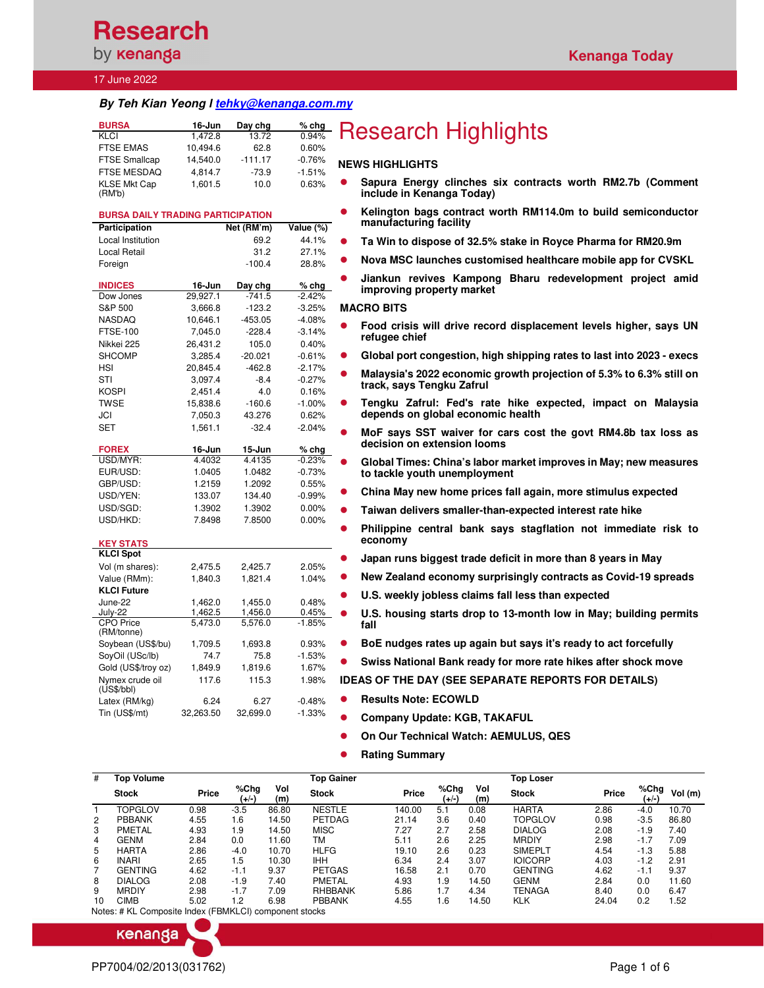## 17 June 2022

## *By Teh Kian Yeong l tehky@kenanga.com.my*

| <b>BURSA</b>                  | 16-Jun   | Day chg   | $%$ chg  |
|-------------------------------|----------|-----------|----------|
| KLCI                          | 1.472.8  | 13.72     | 0.94%    |
| <b>FTSE EMAS</b>              | 10,494.6 | 62.8      | 0.60%    |
| <b>FTSE Smallcap</b>          | 14.540.0 | $-111.17$ | $-0.76%$ |
| <b>FTSE MESDAQ</b>            | 4.814.7  | $-73.9$   | $-1.51%$ |
| <b>KLSE Mkt Cap</b><br>(RM'b) | 1,601.5  | 10.0      | 0.63%    |

## **BURSA DAILY TRADING PARTICIPATION**

| Participation               |                    | Net (RM'm)           | Value (%)         |
|-----------------------------|--------------------|----------------------|-------------------|
| <b>Local Institution</b>    |                    | 69.2                 | 44.1%             |
| Local Retail                |                    | 31.2                 | 27.1%             |
| Foreign                     |                    | $-100.4$             | 28.8%             |
|                             |                    |                      |                   |
| <b>INDICES</b><br>Dow Jones | 16-Jun<br>29,927.1 | Day chg<br>$-741.5$  | % chq<br>$-2.42%$ |
| S&P 500                     | 3,666.8            | $-123.2$             | $-3.25%$          |
|                             |                    |                      |                   |
| NASDAQ                      | 10,646.1           | $-453.05$            | $-4.08%$          |
| <b>FTSE-100</b>             | 7,045.0            | $-228.4$             | $-3.14%$          |
| Nikkei 225                  | 26,431.2           | 105.0                | 0.40%             |
| <b>SHCOMP</b>               | 3,285.4            | $-20.021$            | $-0.61%$          |
| <b>HSI</b>                  | 20,845.4           | $-462.8$             | $-2.17%$          |
| STI                         | 3.097.4            | $-8.4$               | $-0.27%$          |
| KOSPI                       | 2,451.4            | 4.0                  | 0.16%             |
| <b>TWSE</b>                 | 15.838.6           | $-160.6$             | $-1.00%$          |
| JCI                         | 7,050.3            | 43.276               | 0.62%             |
| <b>SET</b>                  | 1,561.1            | $-32.4$              | $-2.04%$          |
|                             |                    |                      |                   |
| <b>FOREX</b>                | 16-Jun             | 15-Jun               | $%$ chg           |
| USD/MYR:                    | 4.4032             | 4.4135               | $-0.23%$          |
| EUR/USD:                    | 1.0405             | 1.0482               | $-0.73%$          |
| GBP/USD:                    | 1.2159             | 1.2092               | 0.55%             |
| USD/YEN:                    | 133.07             | 134.40               | $-0.99%$          |
| USD/SGD:                    | 1.3902             | 1.3902               | 0.00%             |
| USD/HKD:                    | 7.8498             | 7.8500               | 0.00%             |
|                             |                    |                      |                   |
| <b>KEY STATS</b>            |                    |                      |                   |
| <b>KLCI Spot</b>            |                    |                      |                   |
| Vol (m shares):             | 2,475.5            | 2,425.7              | 2.05%             |
| Value (RMm):                | 1,840.3            | 1,821.4              | 1.04%             |
| <b>KLCI Future</b>          |                    |                      |                   |
| June-22                     | 1,462.0            | 1,455.0              | 0.48%             |
| July-22                     | 1,462.5            | 1,456.0              | 0.45%             |
| <b>CPO Price</b>            | 5,473.0            | $\overline{5,}576.0$ | $-1.85%$          |
| (RM/tonne)                  |                    |                      |                   |
| Soybean (US\$/bu)           | 1,709.5            | 1,693.8              | 0.93%             |
| SoyOil (USc/lb)             | 74.7               | 75.8                 | $-1.53%$          |
| Gold (US\$/troy oz)         | 1,849.9            | 1,819.6              | 1.67%             |
| Nymex crude oil             | 117.6              | 115.3                | 1.98%             |
| (US\$/bbI)                  |                    |                      |                   |
| Latex (RM/kg)               | 6.24               | 6.27                 | $-0.48%$          |
| Tin (US\$/mt)               | 32,263.50          | 32,699.0             | $-1.33%$          |

# **Research Highlights**

## **NEWS HIGHLIGHTS**

- **Sapura Energy clinches six contracts worth RM2.7b (Comment include in Kenanga Today)**
- **Kelington bags contract worth RM114.0m to build semiconductor manufacturing facility**
- **Ta Win to dispose of 32.5% stake in Royce Pharma for RM20.9m**
- **Nova MSC launches customised healthcare mobile app for CVSKL**
- **Jiankun revives Kampong Bharu redevelopment project amid improving property market**

#### **MACRO BITS**

- **Food crisis will drive record displacement levels higher, says UN refugee chief**
- **Global port congestion, high shipping rates to last into 2023 execs**
- **Malaysia's 2022 economic growth projection of 5.3% to 6.3% still on track, says Tengku Zafrul**
- **Tengku Zafrul: Fed's rate hike expected, impact on Malaysia depends on global economic health**
- **MoF says SST waiver for cars cost the govt RM4.8b tax loss as decision on extension looms**
- **Global Times: China's labor market improves in May; new measures to tackle youth unemployment**
- **China May new home prices fall again, more stimulus expected**
- **Taiwan delivers smaller-than-expected interest rate hike**
- **Philippine central bank says stagflation not immediate risk to economy**
- **Japan runs biggest trade deficit in more than 8 years in May**
- **New Zealand economy surprisingly contracts as Covid-19 spreads**
- **U.S. weekly jobless claims fall less than expected**
- **U.S. housing starts drop to 13-month low in May; building permits fall**
- **BoE nudges rates up again but says it's ready to act forcefully**
- **Swiss National Bank ready for more rate hikes after shock move**

## **IDEAS OF THE DAY (SEE SEPARATE REPORTS FOR DETAILS)**

- **Results Note: ECOWLD** 
	- **Company Update: KGB, TAKAFUL** 
		- **On Our Technical Watch: AEMULUS, QES**
	- **Rating Summary**

| #                     | Top Volume                                             |       |               |            | Top Gainer     |        |               |            | <b>Top Loser</b> |       |                  |         |
|-----------------------|--------------------------------------------------------|-------|---------------|------------|----------------|--------|---------------|------------|------------------|-------|------------------|---------|
|                       | <b>Stock</b>                                           | Price | %Chg<br>(+/-) | Vol<br>(m) | <b>Stock</b>   | Price  | %Chg<br>(+/-) | Vol<br>(m) | <b>Stock</b>     | Price | % $Chg$<br>(+/-) | Vol (m) |
|                       | <b>TOPGLOV</b>                                         | 0.98  | $-3.5$        | 86.80      | <b>NESTLE</b>  | 140.00 | 5.1           | 0.08       | <b>HARTA</b>     | 2.86  | -4.0             | 10.70   |
| $\mathbf{2}^{\prime}$ | <b>PBBANK</b>                                          | 4.55  | 1.6           | 14.50      | PETDAG         | 21.14  | 3.6           | 0.40       | TOPGLOV          | 0.98  | $-3.5$           | 86.80   |
| 3                     | PMETAL                                                 | 4.93  | 1.9           | 14.50      | <b>MISC</b>    | 7.27   | 2.7           | 2.58       | <b>DIALOG</b>    | 2.08  | $-1.9$           | 7.40    |
| 4                     | GENM                                                   | 2.84  | 0.0           | 11.60      | ТM             | 5.11   | 2.6           | 2.25       | <b>MRDIY</b>     | 2.98  | $-1.7$           | 7.09    |
| 5                     | <b>HARTA</b>                                           | 2.86  | $-4.0$        | 10.70      | <b>HLFG</b>    | 19.10  | 2.6           | 0.23       | <b>SIMEPLT</b>   | 4.54  | $-1.3$           | 5.88    |
| 6                     | <b>INARI</b>                                           | 2.65  | 1.5           | 10.30      | <b>IHH</b>     | 6.34   | 2.4           | 3.07       | <b>IOICORP</b>   | 4.03  | $-1.2$           | 2.91    |
|                       | <b>GENTING</b>                                         | 4.62  | $-1.1$        | 9.37       | <b>PETGAS</b>  | 16.58  | 2.1           | 0.70       | <b>GENTING</b>   | 4.62  | $-1.1$           | 9.37    |
| 8                     | <b>DIALOG</b>                                          | 2.08  | $-1.9$        | 7.40       | PMETAL         | 4.93   | 1.9           | 14.50      | <b>GENM</b>      | 2.84  | 0.0              | 11.60   |
| 9                     | <b>MRDIY</b>                                           | 2.98  | $-1.7$        | 7.09       | <b>RHBBANK</b> | 5.86   | 1.7           | 4.34       | TENAGA           | 8.40  | 0.0              | 6.47    |
| 10                    | CIMB                                                   | 5.02  | 1.2           | 6.98       | <b>PBBANK</b>  | 4.55   | 1.6           | 14.50      | <b>KLK</b>       | 24.04 | 0.2              | 1.52    |
|                       | Notes: # KL Composite Index (FBMKLCI) component stocks |       |               |            |                |        |               |            |                  |       |                  |         |

kenanga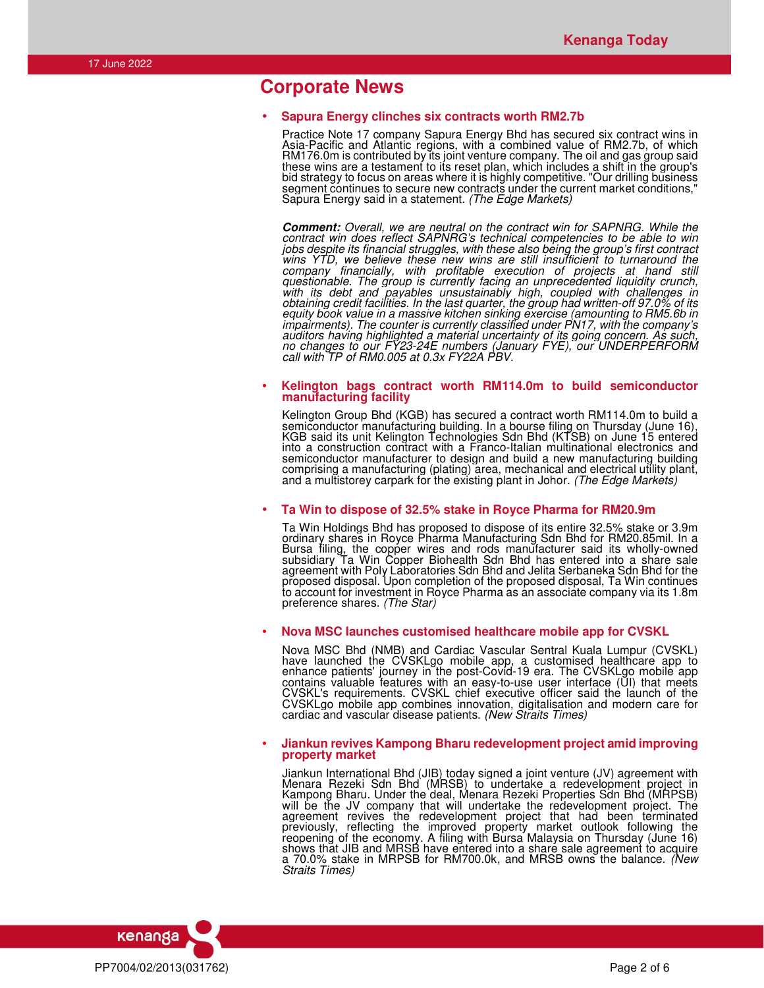## **Corporate News**

## • **Sapura Energy clinches six contracts worth RM2.7b**

Practice Note 17 company Sapura Energy Bhd has secured six contract wins in Asia-Pacific and Atlantic regions, with a combined value of RM2.7b, of which RM176.0m is contributed by its joint venture company. The oil and gas group said these wins are a testament to its reset plan, which includes a shift in the group's bid strategy to focus on areas where it is highly competitive. "Our drilling business segment continues to secure new contracts under the current market conditions," Sapura Energy said in a statement. *(The Edge Markets)*

*Comment: Overall, we are neutral on the contract win for SAPNRG. While the contract win does reflect SAPNRG's technical competencies to be able to win jobs despite its financial struggles, with these also being the group's first contract wins YTD, we believe these new wins are still insufficient to turnaround the company financially, with profitable execution of projects at hand still questionable. The group is currently facing an unprecedented liquidity crunch, with its debt and payables unsustainably high, coupled with challenges in obtaining credit facilities. In the last quarter, the group had written-off 97.0% of its equity book value in a massive kitchen sinking exercise (amounting to RM5.6b in impairments). The counter is currently classified under PN17, with the company's auditors having highlighted a material uncertainty of its going concern. As such, no changes to our FY23-24E numbers (January FYE), our UNDERPERFORM call with TP of RM0.005 at 0.3x FY22A PBV.* 

### • **Kelington bags contract worth RM114.0m to build semiconductor manufacturing facility**

Kelington Group Bhd (KGB) has secured a contract worth RM114.0m to build a semiconductor manufacturing building. In a bourse filing on Thursday (June 16), KGB said its unit Kelington Technologies Sdn Bhd (KTSB) on June 15 entered into a construction contract with a Franco-Italian multinational electronics and semiconductor manufacturer to design and build a new manufacturing building comprising a manufacturing (plating) area, mechanical and electrical utility plant, and a multistorey carpark for the existing plant in Johor. *(The Edge Markets)*

## • **Ta Win to dispose of 32.5% stake in Royce Pharma for RM20.9m**

Ta Win Holdings Bhd has proposed to dispose of its entire 32.5% stake or 3.9m ordinary shares in Royce Pharma Manufacturing Sdn Bhd for RM20.85mil. In a Bursa filing, the copper wires and rods manufacturer said its wholly-owned subsidiary Ta Win Copper Biohealth Sdn Bhd has entered into a share sale agreement with Poly Laboratories Sdn Bhd and Jelita Serbaneka Sdn Bhd for the proposed disposal. Upon completion of the proposed disposal, Ta Win continues to account for investment in Royce Pharma as an associate company via its 1.8m preference shares. *(The Star)*

## • **Nova MSC launches customised healthcare mobile app for CVSKL**

Nova MSC Bhd (NMB) and Cardiac Vascular Sentral Kuala Lumpur (CVSKL) have launched the CVSKLgo mobile app, a customised healthcare app to enhance patients' journey in the post-Covid-19 era. The CVSKLgo mobile app contains valuable features with an easy-to-use user interface (UI) that meets CVSKL's requirements. CVSKL chief executive officer said the launch of the CVSKLgo mobile app combines innovation, digitalisation and modern care for cardiac and vascular disease patients. *(New Straits Times)*

### • **Jiankun revives Kampong Bharu redevelopment project amid improving property market**

Jiankun International Bhd (JIB) today signed a joint venture (JV) agreement with Menara Rezeki Sdn Bhd (MRSB) to undertake a redevelopment project in Kampong Bharu. Under the deal, Menara Rezeki Properties Sdn Bhd (MRPSB) will be the JV company that will undertake the redevelopment project. The agreement revives the redevelopment project that had been terminated previously, reflecting the improved property market outlook following the reopening of the economy. A filing with Bursa Malaysia on Thursday (June 16) shows that JIB and MRSB have entered into a share sale agreement to acquire a 70.0% stake in MRPSB for RM700.0k, and MRSB owns the balance. *(New Straits Times)*

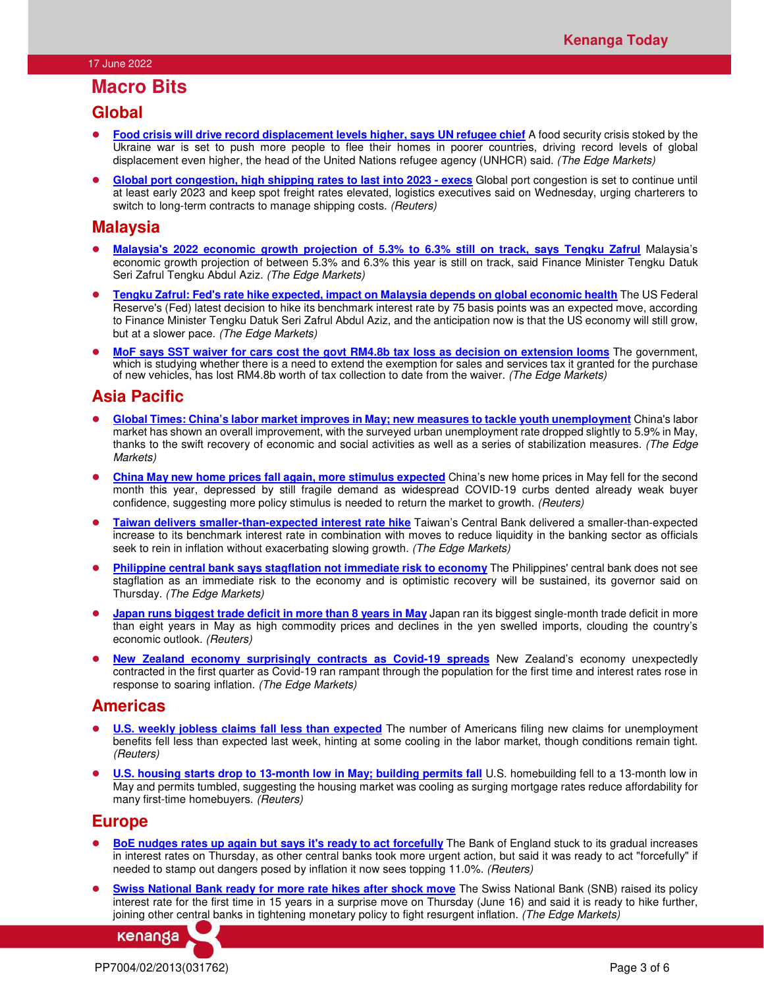## **Macro Bits**

## **Global**

- **Food crisis will drive record displacement levels higher, says UN refugee chief** A food security crisis stoked by the Ukraine war is set to push more people to flee their homes in poorer countries, driving record levels of global displacement even higher, the head of the United Nations refugee agency (UNHCR) said. *(The Edge Markets)*
- **Global port congestion, high shipping rates to last into 2023 execs** Global port congestion is set to continue until at least early 2023 and keep spot freight rates elevated, logistics executives said on Wednesday, urging charterers to switch to long-term contracts to manage shipping costs. *(Reuters)*

## **Malaysia**

- **Malaysia's 2022 economic growth projection of 5.3% to 6.3% still on track, says Tengku Zafrul** Malaysia's economic growth projection of between 5.3% and 6.3% this year is still on track, said Finance Minister Tengku Datuk Seri Zafrul Tengku Abdul Aziz. *(The Edge Markets)*
- **Tengku Zafrul: Fed's rate hike expected, impact on Malaysia depends on global economic health** The US Federal Reserve's (Fed) latest decision to hike its benchmark interest rate by 75 basis points was an expected move, according to Finance Minister Tengku Datuk Seri Zafrul Abdul Aziz, and the anticipation now is that the US economy will still grow, but at a slower pace. *(The Edge Markets)*
- **MoF says SST waiver for cars cost the govt RM4.8b tax loss as decision on extension looms** The government, which is studying whether there is a need to extend the exemption for sales and services tax it granted for the purchase of new vehicles, has lost RM4.8b worth of tax collection to date from the waiver. *(The Edge Markets)*

## **Asia Pacific**

- **Global Times: China's labor market improves in May; new measures to tackle youth unemployment** China's labor market has shown an overall improvement, with the surveyed urban unemployment rate dropped slightly to 5.9% in May, thanks to the swift recovery of economic and social activities as well as a series of stabilization measures. *(The Edge Markets)*
- **China May new home prices fall again, more stimulus expected** China's new home prices in May fell for the second month this year, depressed by still fragile demand as widespread COVID-19 curbs dented already weak buyer confidence, suggesting more policy stimulus is needed to return the market to growth. *(Reuters)*
- **Taiwan delivers smaller-than-expected interest rate hike** Taiwan's Central Bank delivered a smaller-than-expected increase to its benchmark interest rate in combination with moves to reduce liquidity in the banking sector as officials seek to rein in inflation without exacerbating slowing growth. *(The Edge Markets)*
- **Philippine central bank says stagflation not immediate risk to economy** The Philippines' central bank does not see stagflation as an immediate risk to the economy and is optimistic recovery will be sustained, its governor said on Thursday. *(The Edge Markets)*
- **Japan runs biggest trade deficit in more than 8 years in May** Japan ran its biggest single-month trade deficit in more than eight years in May as high commodity prices and declines in the yen swelled imports, clouding the country's economic outlook. *(Reuters)*
- **New Zealand economy surprisingly contracts as Covid-19 spreads** New Zealand's economy unexpectedly contracted in the first quarter as Covid-19 ran rampant through the population for the first time and interest rates rose in response to soaring inflation. *(The Edge Markets)*

## **Americas**

- **U.S. weekly jobless claims fall less than expected** The number of Americans filing new claims for unemployment benefits fell less than expected last week, hinting at some cooling in the labor market, though conditions remain tight. *(Reuters)*
- **U.S. housing starts drop to 13-month low in May; building permits fall** U.S. homebuilding fell to a 13-month low in May and permits tumbled, suggesting the housing market was cooling as surging mortgage rates reduce affordability for many first-time homebuyers. *(Reuters)*

## **Europe**

- **BoE nudges rates up again but says it's ready to act forcefully** The Bank of England stuck to its gradual increases in interest rates on Thursday, as other central banks took more urgent action, but said it was ready to act "forcefully" if needed to stamp out dangers posed by inflation it now sees topping 11.0%. *(Reuters)*
- **Swiss National Bank ready for more rate hikes after shock move** The Swiss National Bank (SNB) raised its policy interest rate for the first time in 15 years in a surprise move on Thursday (June 16) and said it is ready to hike further, joining other central banks in tightening monetary policy to fight resurgent inflation. *(The Edge Markets)*

kenanga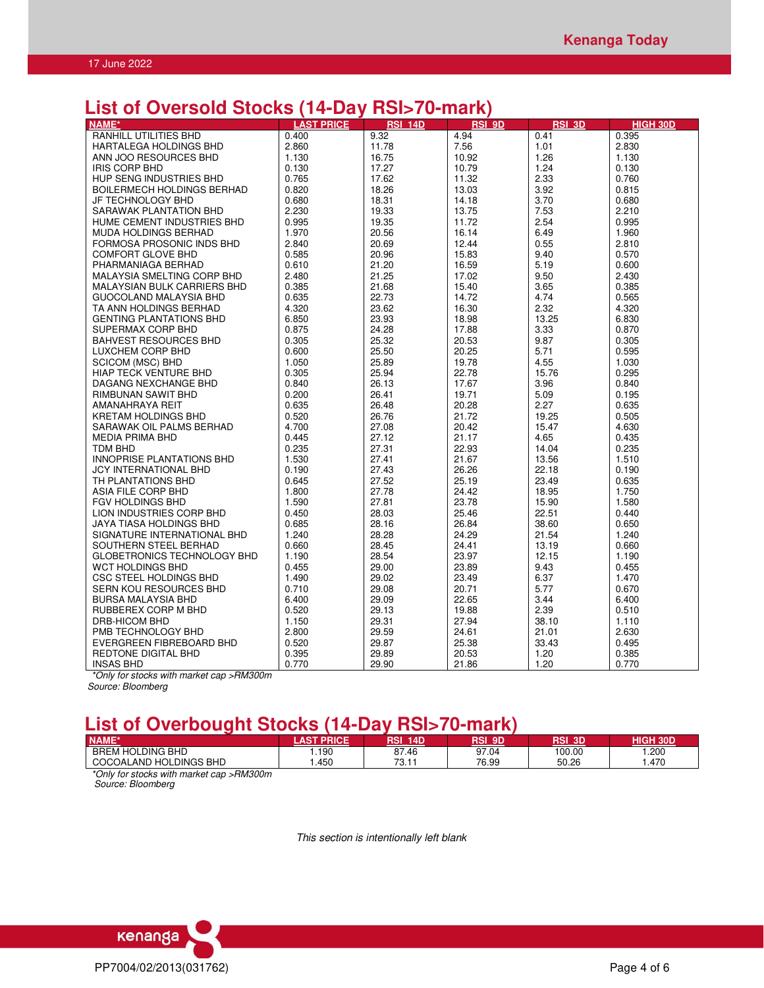# **List of Oversold Stocks (14-Day RSI>70-mark)**

| RANHILL UTILITIES BHD<br>9.32<br>4.94<br>0.41<br>0.400<br>0.395<br>2.860<br>11.78<br>7.56<br>1.01<br>2.830<br>HARTALEGA HOLDINGS BHD<br>ANN JOO RESOURCES BHD<br>1.130<br>16.75<br>10.92<br>1.26<br>1.130<br>0.130<br>17.27<br>1.24<br>0.130<br><b>IRIS CORP BHD</b><br>10.79<br>HUP SENG INDUSTRIES BHD<br>0.765<br>17.62<br>11.32<br>2.33<br>0.760<br>0.820<br>18.26<br>13.03<br>3.92<br>0.815<br><b>BOILERMECH HOLDINGS BERHAD</b><br>0.680<br>18.31<br>14.18<br>3.70<br>0.680<br>JF TECHNOLOGY BHD<br>2.230<br>SARAWAK PLANTATION BHD<br>19.33<br>13.75<br>7.53<br>2.210<br>2.54<br>0.995<br>0.995<br>HUME CEMENT INDUSTRIES BHD<br>19.35<br>11.72<br>1.970<br>20.56<br>16.14<br>6.49<br>1.960<br><b>MUDA HOLDINGS BERHAD</b><br>FORMOSA PROSONIC INDS BHD<br>2.840<br>20.69<br>12.44<br>0.55<br>2.810<br>0.585<br>20.96<br>15.83<br>9.40<br>0.570<br><b>COMFORT GLOVE BHD</b><br>21.20<br>0.610<br>16.59<br>5.19<br>0.600<br>PHARMANIAGA BERHAD<br>2.480<br>MALAYSIA SMELTING CORP BHD<br>21.25<br>17.02<br>9.50<br>2.430<br>MALAYSIAN BULK CARRIERS BHD<br>0.385<br>21.68<br>15.40<br>3.65<br>0.385<br>0.635<br>22.73<br>14.72<br>4.74<br>GUOCOLAND MALAYSIA BHD<br>0.565<br>4.320<br>23.62<br>16.30<br>2.32<br>4.320<br>TA ANN HOLDINGS BERHAD<br>6.850<br>23.93<br>18.98<br>13.25<br>6.830<br><b>GENTING PLANTATIONS BHD</b><br>SUPERMAX CORP BHD<br>0.875<br>24.28<br>17.88<br>3.33<br>0.870<br>0.305<br>25.32<br>20.53<br>9.87<br><b>BAHVEST RESOURCES BHD</b><br>0.305<br>0.600<br>25.50<br>20.25<br>5.71<br>LUXCHEM CORP BHD<br>0.595<br>1.050<br>4.55<br>SCICOM (MSC) BHD<br>25.89<br>19.78<br>1.030<br>0.305<br>25.94<br>22.78<br>15.76<br><b>HIAP TECK VENTURE BHD</b><br>0.295<br>3.96<br>DAGANG NEXCHANGE BHD<br>0.840<br>26.13<br>17.67<br>0.840<br>0.200<br>5.09<br>26.41<br>19.71<br>0.195<br>RIMBUNAN SAWIT BHD<br>0.635<br>2.27<br>0.635<br>AMANAHRAYA REIT<br>26.48<br>20.28<br>0.520<br>26.76<br>21.72<br>KRETAM HOLDINGS BHD<br>19.25<br>0.505<br>4.700<br>SARAWAK OIL PALMS BERHAD<br>27.08<br>20.42<br>15.47<br>4.630<br>0.445<br>27.12<br>21.17<br>4.65<br>0.435<br><b>MEDIA PRIMA BHD</b><br>0.235<br>27.31<br>22.93<br>14.04<br>0.235<br>TDM BHD<br><b>INNOPRISE PLANTATIONS BHD</b><br>1.530<br>27.41<br>21.67<br>13.56<br>1.510<br>0.190<br>JCY INTERNATIONAL BHD<br>27.43<br>26.26<br>22.18<br>0.190<br>TH PLANTATIONS BHD<br>25.19<br>0.645<br>27.52<br>23.49<br>0.635<br>1.800<br>24.42<br>18.95<br>1.750<br>ASIA FILE CORP BHD<br>27.78<br>FGV HOLDINGS BHD<br>1.590<br>27.81<br>23.78<br>15.90<br>1.580<br>22.51<br>LION INDUSTRIES CORP BHD<br>0.450<br>28.03<br>25.46<br>0.440<br>0.685<br>28.16<br>0.650<br>JAYA TIASA HOLDINGS BHD<br>26.84<br>38.60<br>1.240<br>28.28<br>24.29<br>SIGNATURE INTERNATIONAL BHD<br>21.54<br>1.240<br>SOUTHERN STEEL BERHAD<br>0.660<br>28.45<br>24.41<br>13.19<br>0.660<br>GLOBETRONICS TECHNOLOGY BHD<br>1.190<br>28.54<br>23.97<br>12.15<br>1.190<br>WCT HOLDINGS BHD<br>0.455<br>29.00<br>23.89<br>9.43<br>0.455<br>CSC STEEL HOLDINGS BHD<br>1.490<br>29.02<br>23.49<br>6.37<br>1.470<br>SERN KOU RESOURCES BHD<br>0.710<br>29.08<br>20.71<br>5.77<br>0.670<br><b>BURSA MALAYSIA BHD</b><br>6.400<br>29.09<br>22.65<br>3.44<br>6.400<br>0.520<br>RUBBEREX CORP M BHD<br>29.13<br>19.88<br>2.39<br>0.510<br>27.94<br>DRB-HICOM BHD<br>1.150<br>29.31<br>38.10<br>1.110<br>2.800<br>2.630<br>PMB TECHNOLOGY BHD<br>29.59<br>24.61<br>21.01<br>EVERGREEN FIBREBOARD BHD<br>0.520<br>29.87<br>25.38<br>0.495<br>33.43<br>REDTONE DIGITAL BHD<br>0.395<br>29.89<br>1.20<br>0.385<br>20.53 | NAME*            | <b>LAST PRICE</b> | <b>RSI 14D</b> | <b>RSI 9D</b> | <b>RSI 3D</b> | <b>HIGH 30D</b> |
|------------------------------------------------------------------------------------------------------------------------------------------------------------------------------------------------------------------------------------------------------------------------------------------------------------------------------------------------------------------------------------------------------------------------------------------------------------------------------------------------------------------------------------------------------------------------------------------------------------------------------------------------------------------------------------------------------------------------------------------------------------------------------------------------------------------------------------------------------------------------------------------------------------------------------------------------------------------------------------------------------------------------------------------------------------------------------------------------------------------------------------------------------------------------------------------------------------------------------------------------------------------------------------------------------------------------------------------------------------------------------------------------------------------------------------------------------------------------------------------------------------------------------------------------------------------------------------------------------------------------------------------------------------------------------------------------------------------------------------------------------------------------------------------------------------------------------------------------------------------------------------------------------------------------------------------------------------------------------------------------------------------------------------------------------------------------------------------------------------------------------------------------------------------------------------------------------------------------------------------------------------------------------------------------------------------------------------------------------------------------------------------------------------------------------------------------------------------------------------------------------------------------------------------------------------------------------------------------------------------------------------------------------------------------------------------------------------------------------------------------------------------------------------------------------------------------------------------------------------------------------------------------------------------------------------------------------------------------------------------------------------------------------------------------------------------------------------------------------------------------------------------------------------------------------------------------------------------------------------------------------------------------------------------------------------------------------------------------------------------------------------------------------------------------------------------------------------------------------------------------------------------------------------------------------------------|------------------|-------------------|----------------|---------------|---------------|-----------------|
|                                                                                                                                                                                                                                                                                                                                                                                                                                                                                                                                                                                                                                                                                                                                                                                                                                                                                                                                                                                                                                                                                                                                                                                                                                                                                                                                                                                                                                                                                                                                                                                                                                                                                                                                                                                                                                                                                                                                                                                                                                                                                                                                                                                                                                                                                                                                                                                                                                                                                                                                                                                                                                                                                                                                                                                                                                                                                                                                                                                                                                                                                                                                                                                                                                                                                                                                                                                                                                                                                                                                                                  |                  |                   |                |               |               |                 |
|                                                                                                                                                                                                                                                                                                                                                                                                                                                                                                                                                                                                                                                                                                                                                                                                                                                                                                                                                                                                                                                                                                                                                                                                                                                                                                                                                                                                                                                                                                                                                                                                                                                                                                                                                                                                                                                                                                                                                                                                                                                                                                                                                                                                                                                                                                                                                                                                                                                                                                                                                                                                                                                                                                                                                                                                                                                                                                                                                                                                                                                                                                                                                                                                                                                                                                                                                                                                                                                                                                                                                                  |                  |                   |                |               |               |                 |
|                                                                                                                                                                                                                                                                                                                                                                                                                                                                                                                                                                                                                                                                                                                                                                                                                                                                                                                                                                                                                                                                                                                                                                                                                                                                                                                                                                                                                                                                                                                                                                                                                                                                                                                                                                                                                                                                                                                                                                                                                                                                                                                                                                                                                                                                                                                                                                                                                                                                                                                                                                                                                                                                                                                                                                                                                                                                                                                                                                                                                                                                                                                                                                                                                                                                                                                                                                                                                                                                                                                                                                  |                  |                   |                |               |               |                 |
|                                                                                                                                                                                                                                                                                                                                                                                                                                                                                                                                                                                                                                                                                                                                                                                                                                                                                                                                                                                                                                                                                                                                                                                                                                                                                                                                                                                                                                                                                                                                                                                                                                                                                                                                                                                                                                                                                                                                                                                                                                                                                                                                                                                                                                                                                                                                                                                                                                                                                                                                                                                                                                                                                                                                                                                                                                                                                                                                                                                                                                                                                                                                                                                                                                                                                                                                                                                                                                                                                                                                                                  |                  |                   |                |               |               |                 |
|                                                                                                                                                                                                                                                                                                                                                                                                                                                                                                                                                                                                                                                                                                                                                                                                                                                                                                                                                                                                                                                                                                                                                                                                                                                                                                                                                                                                                                                                                                                                                                                                                                                                                                                                                                                                                                                                                                                                                                                                                                                                                                                                                                                                                                                                                                                                                                                                                                                                                                                                                                                                                                                                                                                                                                                                                                                                                                                                                                                                                                                                                                                                                                                                                                                                                                                                                                                                                                                                                                                                                                  |                  |                   |                |               |               |                 |
|                                                                                                                                                                                                                                                                                                                                                                                                                                                                                                                                                                                                                                                                                                                                                                                                                                                                                                                                                                                                                                                                                                                                                                                                                                                                                                                                                                                                                                                                                                                                                                                                                                                                                                                                                                                                                                                                                                                                                                                                                                                                                                                                                                                                                                                                                                                                                                                                                                                                                                                                                                                                                                                                                                                                                                                                                                                                                                                                                                                                                                                                                                                                                                                                                                                                                                                                                                                                                                                                                                                                                                  |                  |                   |                |               |               |                 |
|                                                                                                                                                                                                                                                                                                                                                                                                                                                                                                                                                                                                                                                                                                                                                                                                                                                                                                                                                                                                                                                                                                                                                                                                                                                                                                                                                                                                                                                                                                                                                                                                                                                                                                                                                                                                                                                                                                                                                                                                                                                                                                                                                                                                                                                                                                                                                                                                                                                                                                                                                                                                                                                                                                                                                                                                                                                                                                                                                                                                                                                                                                                                                                                                                                                                                                                                                                                                                                                                                                                                                                  |                  |                   |                |               |               |                 |
|                                                                                                                                                                                                                                                                                                                                                                                                                                                                                                                                                                                                                                                                                                                                                                                                                                                                                                                                                                                                                                                                                                                                                                                                                                                                                                                                                                                                                                                                                                                                                                                                                                                                                                                                                                                                                                                                                                                                                                                                                                                                                                                                                                                                                                                                                                                                                                                                                                                                                                                                                                                                                                                                                                                                                                                                                                                                                                                                                                                                                                                                                                                                                                                                                                                                                                                                                                                                                                                                                                                                                                  |                  |                   |                |               |               |                 |
|                                                                                                                                                                                                                                                                                                                                                                                                                                                                                                                                                                                                                                                                                                                                                                                                                                                                                                                                                                                                                                                                                                                                                                                                                                                                                                                                                                                                                                                                                                                                                                                                                                                                                                                                                                                                                                                                                                                                                                                                                                                                                                                                                                                                                                                                                                                                                                                                                                                                                                                                                                                                                                                                                                                                                                                                                                                                                                                                                                                                                                                                                                                                                                                                                                                                                                                                                                                                                                                                                                                                                                  |                  |                   |                |               |               |                 |
|                                                                                                                                                                                                                                                                                                                                                                                                                                                                                                                                                                                                                                                                                                                                                                                                                                                                                                                                                                                                                                                                                                                                                                                                                                                                                                                                                                                                                                                                                                                                                                                                                                                                                                                                                                                                                                                                                                                                                                                                                                                                                                                                                                                                                                                                                                                                                                                                                                                                                                                                                                                                                                                                                                                                                                                                                                                                                                                                                                                                                                                                                                                                                                                                                                                                                                                                                                                                                                                                                                                                                                  |                  |                   |                |               |               |                 |
|                                                                                                                                                                                                                                                                                                                                                                                                                                                                                                                                                                                                                                                                                                                                                                                                                                                                                                                                                                                                                                                                                                                                                                                                                                                                                                                                                                                                                                                                                                                                                                                                                                                                                                                                                                                                                                                                                                                                                                                                                                                                                                                                                                                                                                                                                                                                                                                                                                                                                                                                                                                                                                                                                                                                                                                                                                                                                                                                                                                                                                                                                                                                                                                                                                                                                                                                                                                                                                                                                                                                                                  |                  |                   |                |               |               |                 |
|                                                                                                                                                                                                                                                                                                                                                                                                                                                                                                                                                                                                                                                                                                                                                                                                                                                                                                                                                                                                                                                                                                                                                                                                                                                                                                                                                                                                                                                                                                                                                                                                                                                                                                                                                                                                                                                                                                                                                                                                                                                                                                                                                                                                                                                                                                                                                                                                                                                                                                                                                                                                                                                                                                                                                                                                                                                                                                                                                                                                                                                                                                                                                                                                                                                                                                                                                                                                                                                                                                                                                                  |                  |                   |                |               |               |                 |
|                                                                                                                                                                                                                                                                                                                                                                                                                                                                                                                                                                                                                                                                                                                                                                                                                                                                                                                                                                                                                                                                                                                                                                                                                                                                                                                                                                                                                                                                                                                                                                                                                                                                                                                                                                                                                                                                                                                                                                                                                                                                                                                                                                                                                                                                                                                                                                                                                                                                                                                                                                                                                                                                                                                                                                                                                                                                                                                                                                                                                                                                                                                                                                                                                                                                                                                                                                                                                                                                                                                                                                  |                  |                   |                |               |               |                 |
|                                                                                                                                                                                                                                                                                                                                                                                                                                                                                                                                                                                                                                                                                                                                                                                                                                                                                                                                                                                                                                                                                                                                                                                                                                                                                                                                                                                                                                                                                                                                                                                                                                                                                                                                                                                                                                                                                                                                                                                                                                                                                                                                                                                                                                                                                                                                                                                                                                                                                                                                                                                                                                                                                                                                                                                                                                                                                                                                                                                                                                                                                                                                                                                                                                                                                                                                                                                                                                                                                                                                                                  |                  |                   |                |               |               |                 |
|                                                                                                                                                                                                                                                                                                                                                                                                                                                                                                                                                                                                                                                                                                                                                                                                                                                                                                                                                                                                                                                                                                                                                                                                                                                                                                                                                                                                                                                                                                                                                                                                                                                                                                                                                                                                                                                                                                                                                                                                                                                                                                                                                                                                                                                                                                                                                                                                                                                                                                                                                                                                                                                                                                                                                                                                                                                                                                                                                                                                                                                                                                                                                                                                                                                                                                                                                                                                                                                                                                                                                                  |                  |                   |                |               |               |                 |
|                                                                                                                                                                                                                                                                                                                                                                                                                                                                                                                                                                                                                                                                                                                                                                                                                                                                                                                                                                                                                                                                                                                                                                                                                                                                                                                                                                                                                                                                                                                                                                                                                                                                                                                                                                                                                                                                                                                                                                                                                                                                                                                                                                                                                                                                                                                                                                                                                                                                                                                                                                                                                                                                                                                                                                                                                                                                                                                                                                                                                                                                                                                                                                                                                                                                                                                                                                                                                                                                                                                                                                  |                  |                   |                |               |               |                 |
|                                                                                                                                                                                                                                                                                                                                                                                                                                                                                                                                                                                                                                                                                                                                                                                                                                                                                                                                                                                                                                                                                                                                                                                                                                                                                                                                                                                                                                                                                                                                                                                                                                                                                                                                                                                                                                                                                                                                                                                                                                                                                                                                                                                                                                                                                                                                                                                                                                                                                                                                                                                                                                                                                                                                                                                                                                                                                                                                                                                                                                                                                                                                                                                                                                                                                                                                                                                                                                                                                                                                                                  |                  |                   |                |               |               |                 |
|                                                                                                                                                                                                                                                                                                                                                                                                                                                                                                                                                                                                                                                                                                                                                                                                                                                                                                                                                                                                                                                                                                                                                                                                                                                                                                                                                                                                                                                                                                                                                                                                                                                                                                                                                                                                                                                                                                                                                                                                                                                                                                                                                                                                                                                                                                                                                                                                                                                                                                                                                                                                                                                                                                                                                                                                                                                                                                                                                                                                                                                                                                                                                                                                                                                                                                                                                                                                                                                                                                                                                                  |                  |                   |                |               |               |                 |
|                                                                                                                                                                                                                                                                                                                                                                                                                                                                                                                                                                                                                                                                                                                                                                                                                                                                                                                                                                                                                                                                                                                                                                                                                                                                                                                                                                                                                                                                                                                                                                                                                                                                                                                                                                                                                                                                                                                                                                                                                                                                                                                                                                                                                                                                                                                                                                                                                                                                                                                                                                                                                                                                                                                                                                                                                                                                                                                                                                                                                                                                                                                                                                                                                                                                                                                                                                                                                                                                                                                                                                  |                  |                   |                |               |               |                 |
|                                                                                                                                                                                                                                                                                                                                                                                                                                                                                                                                                                                                                                                                                                                                                                                                                                                                                                                                                                                                                                                                                                                                                                                                                                                                                                                                                                                                                                                                                                                                                                                                                                                                                                                                                                                                                                                                                                                                                                                                                                                                                                                                                                                                                                                                                                                                                                                                                                                                                                                                                                                                                                                                                                                                                                                                                                                                                                                                                                                                                                                                                                                                                                                                                                                                                                                                                                                                                                                                                                                                                                  |                  |                   |                |               |               |                 |
|                                                                                                                                                                                                                                                                                                                                                                                                                                                                                                                                                                                                                                                                                                                                                                                                                                                                                                                                                                                                                                                                                                                                                                                                                                                                                                                                                                                                                                                                                                                                                                                                                                                                                                                                                                                                                                                                                                                                                                                                                                                                                                                                                                                                                                                                                                                                                                                                                                                                                                                                                                                                                                                                                                                                                                                                                                                                                                                                                                                                                                                                                                                                                                                                                                                                                                                                                                                                                                                                                                                                                                  |                  |                   |                |               |               |                 |
|                                                                                                                                                                                                                                                                                                                                                                                                                                                                                                                                                                                                                                                                                                                                                                                                                                                                                                                                                                                                                                                                                                                                                                                                                                                                                                                                                                                                                                                                                                                                                                                                                                                                                                                                                                                                                                                                                                                                                                                                                                                                                                                                                                                                                                                                                                                                                                                                                                                                                                                                                                                                                                                                                                                                                                                                                                                                                                                                                                                                                                                                                                                                                                                                                                                                                                                                                                                                                                                                                                                                                                  |                  |                   |                |               |               |                 |
|                                                                                                                                                                                                                                                                                                                                                                                                                                                                                                                                                                                                                                                                                                                                                                                                                                                                                                                                                                                                                                                                                                                                                                                                                                                                                                                                                                                                                                                                                                                                                                                                                                                                                                                                                                                                                                                                                                                                                                                                                                                                                                                                                                                                                                                                                                                                                                                                                                                                                                                                                                                                                                                                                                                                                                                                                                                                                                                                                                                                                                                                                                                                                                                                                                                                                                                                                                                                                                                                                                                                                                  |                  |                   |                |               |               |                 |
|                                                                                                                                                                                                                                                                                                                                                                                                                                                                                                                                                                                                                                                                                                                                                                                                                                                                                                                                                                                                                                                                                                                                                                                                                                                                                                                                                                                                                                                                                                                                                                                                                                                                                                                                                                                                                                                                                                                                                                                                                                                                                                                                                                                                                                                                                                                                                                                                                                                                                                                                                                                                                                                                                                                                                                                                                                                                                                                                                                                                                                                                                                                                                                                                                                                                                                                                                                                                                                                                                                                                                                  |                  |                   |                |               |               |                 |
|                                                                                                                                                                                                                                                                                                                                                                                                                                                                                                                                                                                                                                                                                                                                                                                                                                                                                                                                                                                                                                                                                                                                                                                                                                                                                                                                                                                                                                                                                                                                                                                                                                                                                                                                                                                                                                                                                                                                                                                                                                                                                                                                                                                                                                                                                                                                                                                                                                                                                                                                                                                                                                                                                                                                                                                                                                                                                                                                                                                                                                                                                                                                                                                                                                                                                                                                                                                                                                                                                                                                                                  |                  |                   |                |               |               |                 |
|                                                                                                                                                                                                                                                                                                                                                                                                                                                                                                                                                                                                                                                                                                                                                                                                                                                                                                                                                                                                                                                                                                                                                                                                                                                                                                                                                                                                                                                                                                                                                                                                                                                                                                                                                                                                                                                                                                                                                                                                                                                                                                                                                                                                                                                                                                                                                                                                                                                                                                                                                                                                                                                                                                                                                                                                                                                                                                                                                                                                                                                                                                                                                                                                                                                                                                                                                                                                                                                                                                                                                                  |                  |                   |                |               |               |                 |
|                                                                                                                                                                                                                                                                                                                                                                                                                                                                                                                                                                                                                                                                                                                                                                                                                                                                                                                                                                                                                                                                                                                                                                                                                                                                                                                                                                                                                                                                                                                                                                                                                                                                                                                                                                                                                                                                                                                                                                                                                                                                                                                                                                                                                                                                                                                                                                                                                                                                                                                                                                                                                                                                                                                                                                                                                                                                                                                                                                                                                                                                                                                                                                                                                                                                                                                                                                                                                                                                                                                                                                  |                  |                   |                |               |               |                 |
|                                                                                                                                                                                                                                                                                                                                                                                                                                                                                                                                                                                                                                                                                                                                                                                                                                                                                                                                                                                                                                                                                                                                                                                                                                                                                                                                                                                                                                                                                                                                                                                                                                                                                                                                                                                                                                                                                                                                                                                                                                                                                                                                                                                                                                                                                                                                                                                                                                                                                                                                                                                                                                                                                                                                                                                                                                                                                                                                                                                                                                                                                                                                                                                                                                                                                                                                                                                                                                                                                                                                                                  |                  |                   |                |               |               |                 |
|                                                                                                                                                                                                                                                                                                                                                                                                                                                                                                                                                                                                                                                                                                                                                                                                                                                                                                                                                                                                                                                                                                                                                                                                                                                                                                                                                                                                                                                                                                                                                                                                                                                                                                                                                                                                                                                                                                                                                                                                                                                                                                                                                                                                                                                                                                                                                                                                                                                                                                                                                                                                                                                                                                                                                                                                                                                                                                                                                                                                                                                                                                                                                                                                                                                                                                                                                                                                                                                                                                                                                                  |                  |                   |                |               |               |                 |
|                                                                                                                                                                                                                                                                                                                                                                                                                                                                                                                                                                                                                                                                                                                                                                                                                                                                                                                                                                                                                                                                                                                                                                                                                                                                                                                                                                                                                                                                                                                                                                                                                                                                                                                                                                                                                                                                                                                                                                                                                                                                                                                                                                                                                                                                                                                                                                                                                                                                                                                                                                                                                                                                                                                                                                                                                                                                                                                                                                                                                                                                                                                                                                                                                                                                                                                                                                                                                                                                                                                                                                  |                  |                   |                |               |               |                 |
|                                                                                                                                                                                                                                                                                                                                                                                                                                                                                                                                                                                                                                                                                                                                                                                                                                                                                                                                                                                                                                                                                                                                                                                                                                                                                                                                                                                                                                                                                                                                                                                                                                                                                                                                                                                                                                                                                                                                                                                                                                                                                                                                                                                                                                                                                                                                                                                                                                                                                                                                                                                                                                                                                                                                                                                                                                                                                                                                                                                                                                                                                                                                                                                                                                                                                                                                                                                                                                                                                                                                                                  |                  |                   |                |               |               |                 |
|                                                                                                                                                                                                                                                                                                                                                                                                                                                                                                                                                                                                                                                                                                                                                                                                                                                                                                                                                                                                                                                                                                                                                                                                                                                                                                                                                                                                                                                                                                                                                                                                                                                                                                                                                                                                                                                                                                                                                                                                                                                                                                                                                                                                                                                                                                                                                                                                                                                                                                                                                                                                                                                                                                                                                                                                                                                                                                                                                                                                                                                                                                                                                                                                                                                                                                                                                                                                                                                                                                                                                                  |                  |                   |                |               |               |                 |
|                                                                                                                                                                                                                                                                                                                                                                                                                                                                                                                                                                                                                                                                                                                                                                                                                                                                                                                                                                                                                                                                                                                                                                                                                                                                                                                                                                                                                                                                                                                                                                                                                                                                                                                                                                                                                                                                                                                                                                                                                                                                                                                                                                                                                                                                                                                                                                                                                                                                                                                                                                                                                                                                                                                                                                                                                                                                                                                                                                                                                                                                                                                                                                                                                                                                                                                                                                                                                                                                                                                                                                  |                  |                   |                |               |               |                 |
|                                                                                                                                                                                                                                                                                                                                                                                                                                                                                                                                                                                                                                                                                                                                                                                                                                                                                                                                                                                                                                                                                                                                                                                                                                                                                                                                                                                                                                                                                                                                                                                                                                                                                                                                                                                                                                                                                                                                                                                                                                                                                                                                                                                                                                                                                                                                                                                                                                                                                                                                                                                                                                                                                                                                                                                                                                                                                                                                                                                                                                                                                                                                                                                                                                                                                                                                                                                                                                                                                                                                                                  |                  |                   |                |               |               |                 |
|                                                                                                                                                                                                                                                                                                                                                                                                                                                                                                                                                                                                                                                                                                                                                                                                                                                                                                                                                                                                                                                                                                                                                                                                                                                                                                                                                                                                                                                                                                                                                                                                                                                                                                                                                                                                                                                                                                                                                                                                                                                                                                                                                                                                                                                                                                                                                                                                                                                                                                                                                                                                                                                                                                                                                                                                                                                                                                                                                                                                                                                                                                                                                                                                                                                                                                                                                                                                                                                                                                                                                                  |                  |                   |                |               |               |                 |
|                                                                                                                                                                                                                                                                                                                                                                                                                                                                                                                                                                                                                                                                                                                                                                                                                                                                                                                                                                                                                                                                                                                                                                                                                                                                                                                                                                                                                                                                                                                                                                                                                                                                                                                                                                                                                                                                                                                                                                                                                                                                                                                                                                                                                                                                                                                                                                                                                                                                                                                                                                                                                                                                                                                                                                                                                                                                                                                                                                                                                                                                                                                                                                                                                                                                                                                                                                                                                                                                                                                                                                  |                  |                   |                |               |               |                 |
|                                                                                                                                                                                                                                                                                                                                                                                                                                                                                                                                                                                                                                                                                                                                                                                                                                                                                                                                                                                                                                                                                                                                                                                                                                                                                                                                                                                                                                                                                                                                                                                                                                                                                                                                                                                                                                                                                                                                                                                                                                                                                                                                                                                                                                                                                                                                                                                                                                                                                                                                                                                                                                                                                                                                                                                                                                                                                                                                                                                                                                                                                                                                                                                                                                                                                                                                                                                                                                                                                                                                                                  |                  |                   |                |               |               |                 |
|                                                                                                                                                                                                                                                                                                                                                                                                                                                                                                                                                                                                                                                                                                                                                                                                                                                                                                                                                                                                                                                                                                                                                                                                                                                                                                                                                                                                                                                                                                                                                                                                                                                                                                                                                                                                                                                                                                                                                                                                                                                                                                                                                                                                                                                                                                                                                                                                                                                                                                                                                                                                                                                                                                                                                                                                                                                                                                                                                                                                                                                                                                                                                                                                                                                                                                                                                                                                                                                                                                                                                                  |                  |                   |                |               |               |                 |
|                                                                                                                                                                                                                                                                                                                                                                                                                                                                                                                                                                                                                                                                                                                                                                                                                                                                                                                                                                                                                                                                                                                                                                                                                                                                                                                                                                                                                                                                                                                                                                                                                                                                                                                                                                                                                                                                                                                                                                                                                                                                                                                                                                                                                                                                                                                                                                                                                                                                                                                                                                                                                                                                                                                                                                                                                                                                                                                                                                                                                                                                                                                                                                                                                                                                                                                                                                                                                                                                                                                                                                  |                  |                   |                |               |               |                 |
|                                                                                                                                                                                                                                                                                                                                                                                                                                                                                                                                                                                                                                                                                                                                                                                                                                                                                                                                                                                                                                                                                                                                                                                                                                                                                                                                                                                                                                                                                                                                                                                                                                                                                                                                                                                                                                                                                                                                                                                                                                                                                                                                                                                                                                                                                                                                                                                                                                                                                                                                                                                                                                                                                                                                                                                                                                                                                                                                                                                                                                                                                                                                                                                                                                                                                                                                                                                                                                                                                                                                                                  |                  |                   |                |               |               |                 |
|                                                                                                                                                                                                                                                                                                                                                                                                                                                                                                                                                                                                                                                                                                                                                                                                                                                                                                                                                                                                                                                                                                                                                                                                                                                                                                                                                                                                                                                                                                                                                                                                                                                                                                                                                                                                                                                                                                                                                                                                                                                                                                                                                                                                                                                                                                                                                                                                                                                                                                                                                                                                                                                                                                                                                                                                                                                                                                                                                                                                                                                                                                                                                                                                                                                                                                                                                                                                                                                                                                                                                                  |                  |                   |                |               |               |                 |
|                                                                                                                                                                                                                                                                                                                                                                                                                                                                                                                                                                                                                                                                                                                                                                                                                                                                                                                                                                                                                                                                                                                                                                                                                                                                                                                                                                                                                                                                                                                                                                                                                                                                                                                                                                                                                                                                                                                                                                                                                                                                                                                                                                                                                                                                                                                                                                                                                                                                                                                                                                                                                                                                                                                                                                                                                                                                                                                                                                                                                                                                                                                                                                                                                                                                                                                                                                                                                                                                                                                                                                  |                  |                   |                |               |               |                 |
|                                                                                                                                                                                                                                                                                                                                                                                                                                                                                                                                                                                                                                                                                                                                                                                                                                                                                                                                                                                                                                                                                                                                                                                                                                                                                                                                                                                                                                                                                                                                                                                                                                                                                                                                                                                                                                                                                                                                                                                                                                                                                                                                                                                                                                                                                                                                                                                                                                                                                                                                                                                                                                                                                                                                                                                                                                                                                                                                                                                                                                                                                                                                                                                                                                                                                                                                                                                                                                                                                                                                                                  |                  |                   |                |               |               |                 |
|                                                                                                                                                                                                                                                                                                                                                                                                                                                                                                                                                                                                                                                                                                                                                                                                                                                                                                                                                                                                                                                                                                                                                                                                                                                                                                                                                                                                                                                                                                                                                                                                                                                                                                                                                                                                                                                                                                                                                                                                                                                                                                                                                                                                                                                                                                                                                                                                                                                                                                                                                                                                                                                                                                                                                                                                                                                                                                                                                                                                                                                                                                                                                                                                                                                                                                                                                                                                                                                                                                                                                                  |                  |                   |                |               |               |                 |
|                                                                                                                                                                                                                                                                                                                                                                                                                                                                                                                                                                                                                                                                                                                                                                                                                                                                                                                                                                                                                                                                                                                                                                                                                                                                                                                                                                                                                                                                                                                                                                                                                                                                                                                                                                                                                                                                                                                                                                                                                                                                                                                                                                                                                                                                                                                                                                                                                                                                                                                                                                                                                                                                                                                                                                                                                                                                                                                                                                                                                                                                                                                                                                                                                                                                                                                                                                                                                                                                                                                                                                  |                  |                   |                |               |               |                 |
|                                                                                                                                                                                                                                                                                                                                                                                                                                                                                                                                                                                                                                                                                                                                                                                                                                                                                                                                                                                                                                                                                                                                                                                                                                                                                                                                                                                                                                                                                                                                                                                                                                                                                                                                                                                                                                                                                                                                                                                                                                                                                                                                                                                                                                                                                                                                                                                                                                                                                                                                                                                                                                                                                                                                                                                                                                                                                                                                                                                                                                                                                                                                                                                                                                                                                                                                                                                                                                                                                                                                                                  |                  |                   |                |               |               |                 |
|                                                                                                                                                                                                                                                                                                                                                                                                                                                                                                                                                                                                                                                                                                                                                                                                                                                                                                                                                                                                                                                                                                                                                                                                                                                                                                                                                                                                                                                                                                                                                                                                                                                                                                                                                                                                                                                                                                                                                                                                                                                                                                                                                                                                                                                                                                                                                                                                                                                                                                                                                                                                                                                                                                                                                                                                                                                                                                                                                                                                                                                                                                                                                                                                                                                                                                                                                                                                                                                                                                                                                                  |                  |                   |                |               |               |                 |
|                                                                                                                                                                                                                                                                                                                                                                                                                                                                                                                                                                                                                                                                                                                                                                                                                                                                                                                                                                                                                                                                                                                                                                                                                                                                                                                                                                                                                                                                                                                                                                                                                                                                                                                                                                                                                                                                                                                                                                                                                                                                                                                                                                                                                                                                                                                                                                                                                                                                                                                                                                                                                                                                                                                                                                                                                                                                                                                                                                                                                                                                                                                                                                                                                                                                                                                                                                                                                                                                                                                                                                  |                  |                   |                |               |               |                 |
|                                                                                                                                                                                                                                                                                                                                                                                                                                                                                                                                                                                                                                                                                                                                                                                                                                                                                                                                                                                                                                                                                                                                                                                                                                                                                                                                                                                                                                                                                                                                                                                                                                                                                                                                                                                                                                                                                                                                                                                                                                                                                                                                                                                                                                                                                                                                                                                                                                                                                                                                                                                                                                                                                                                                                                                                                                                                                                                                                                                                                                                                                                                                                                                                                                                                                                                                                                                                                                                                                                                                                                  |                  |                   |                |               |               |                 |
|                                                                                                                                                                                                                                                                                                                                                                                                                                                                                                                                                                                                                                                                                                                                                                                                                                                                                                                                                                                                                                                                                                                                                                                                                                                                                                                                                                                                                                                                                                                                                                                                                                                                                                                                                                                                                                                                                                                                                                                                                                                                                                                                                                                                                                                                                                                                                                                                                                                                                                                                                                                                                                                                                                                                                                                                                                                                                                                                                                                                                                                                                                                                                                                                                                                                                                                                                                                                                                                                                                                                                                  |                  |                   |                |               |               |                 |
| *Only for stocks with market can \RM300m                                                                                                                                                                                                                                                                                                                                                                                                                                                                                                                                                                                                                                                                                                                                                                                                                                                                                                                                                                                                                                                                                                                                                                                                                                                                                                                                                                                                                                                                                                                                                                                                                                                                                                                                                                                                                                                                                                                                                                                                                                                                                                                                                                                                                                                                                                                                                                                                                                                                                                                                                                                                                                                                                                                                                                                                                                                                                                                                                                                                                                                                                                                                                                                                                                                                                                                                                                                                                                                                                                                         | <b>INSAS BHD</b> | 0.770             | 29.90          | 21.86         | 1.20          | 0.770           |

*\*Only for stocks with market cap >RM300m* 

 *Source: Bloomberg* 

# **List of Overbought Stocks (14-Day RSI>70-mark)**

| NAME*                                    | $\sim$ PRICE | RSI<br><b>14D</b> | RSI<br>9D | RSI 3D | HIGH 30D |
|------------------------------------------|--------------|-------------------|-----------|--------|----------|
| <b>BREM HOLDING BHD</b>                  | .190         | 87.46             | 97.04     | 100.00 | .200     |
| COCOALAND<br>HOLDINGS BHD                | .450         | 79.1.<br>ו. ט'    | 76.99     | 50.26  | .470     |
| *Only for stocks with market cap >RM300m |              |                   |           |        |          |

 *Source: Bloomberg* 

*This section is intentionally left blank*

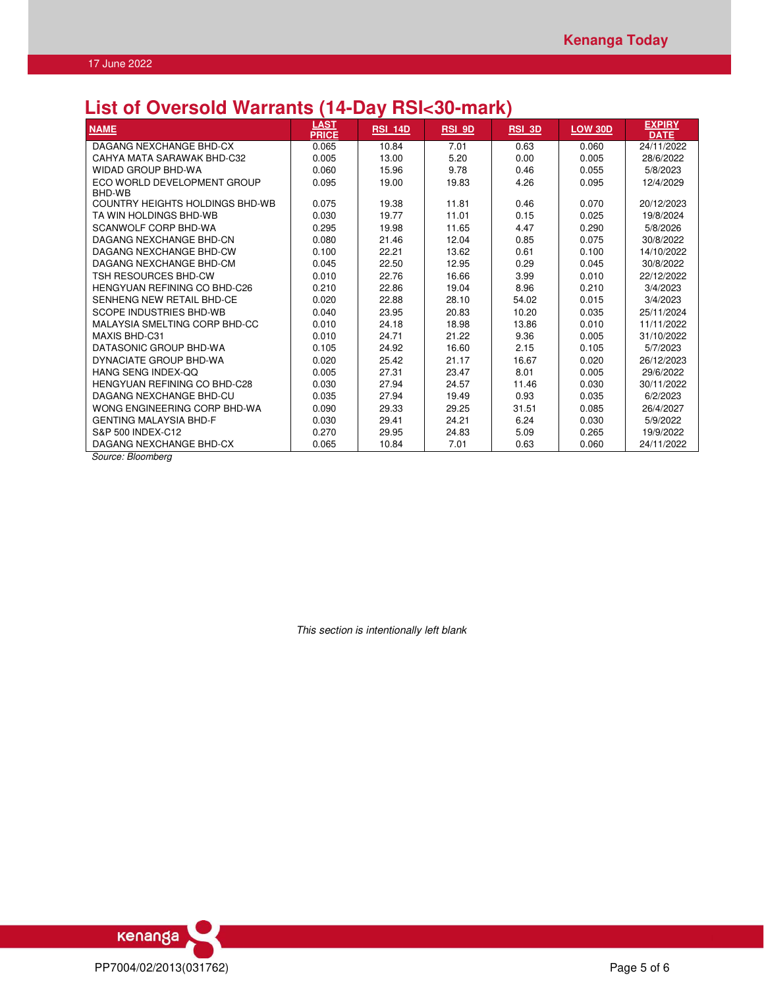# **List of Oversold Warrants (14-Day RSI<30-mark)**

| <b>NAME</b>                            | <b>LAST</b><br><b>PRICE</b> | <b>RSI 14D</b> | <b>RSI 9D</b> | <b>RSI 3D</b> | <b>LOW 30D</b> | <b>EXPIRY</b><br><b>DATE</b> |
|----------------------------------------|-----------------------------|----------------|---------------|---------------|----------------|------------------------------|
| DAGANG NEXCHANGE BHD-CX                | 0.065                       | 10.84          | 7.01          | 0.63          | 0.060          | 24/11/2022                   |
| CAHYA MATA SARAWAK BHD-C32             | 0.005                       | 13.00          | 5.20          | 0.00          | 0.005          | 28/6/2022                    |
| <b>WIDAD GROUP BHD-WA</b>              | 0.060                       | 15.96          | 9.78          | 0.46          | 0.055          | 5/8/2023                     |
| ECO WORLD DEVELOPMENT GROUP            | 0.095                       | 19.00          | 19.83         | 4.26          | 0.095          | 12/4/2029                    |
| BHD-WB                                 |                             |                |               |               |                |                              |
| <b>COUNTRY HEIGHTS HOLDINGS BHD-WB</b> | 0.075                       | 19.38          | 11.81         | 0.46          | 0.070          | 20/12/2023                   |
| TA WIN HOLDINGS BHD-WB                 | 0.030                       | 19.77          | 11.01         | 0.15          | 0.025          | 19/8/2024                    |
| SCANWOLF CORP BHD-WA                   | 0.295                       | 19.98          | 11.65         | 4.47          | 0.290          | 5/8/2026                     |
| DAGANG NEXCHANGE BHD-CN                | 0.080                       | 21.46          | 12.04         | 0.85          | 0.075          | 30/8/2022                    |
| DAGANG NEXCHANGE BHD-CW                | 0.100                       | 22.21          | 13.62         | 0.61          | 0.100          | 14/10/2022                   |
| DAGANG NEXCHANGE BHD-CM                | 0.045                       | 22.50          | 12.95         | 0.29          | 0.045          | 30/8/2022                    |
| TSH RESOURCES BHD-CW                   | 0.010                       | 22.76          | 16.66         | 3.99          | 0.010          | 22/12/2022                   |
| <b>HENGYUAN REFINING CO BHD-C26</b>    | 0.210                       | 22.86          | 19.04         | 8.96          | 0.210          | 3/4/2023                     |
| SENHENG NEW RETAIL BHD-CE              | 0.020                       | 22.88          | 28.10         | 54.02         | 0.015          | 3/4/2023                     |
| <b>SCOPE INDUSTRIES BHD-WB</b>         | 0.040                       | 23.95          | 20.83         | 10.20         | 0.035          | 25/11/2024                   |
| MALAYSIA SMELTING CORP BHD-CC          | 0.010                       | 24.18          | 18.98         | 13.86         | 0.010          | 11/11/2022                   |
| MAXIS BHD-C31                          | 0.010                       | 24.71          | 21.22         | 9.36          | 0.005          | 31/10/2022                   |
| DATASONIC GROUP BHD-WA                 | 0.105                       | 24.92          | 16.60         | 2.15          | 0.105          | 5/7/2023                     |
| DYNACIATE GROUP BHD-WA                 | 0.020                       | 25.42          | 21.17         | 16.67         | 0.020          | 26/12/2023                   |
| HANG SENG INDEX-OO                     | 0.005                       | 27.31          | 23.47         | 8.01          | 0.005          | 29/6/2022                    |
| HENGYUAN REFINING CO BHD-C28           | 0.030                       | 27.94          | 24.57         | 11.46         | 0.030          | 30/11/2022                   |
| DAGANG NEXCHANGE BHD-CU                | 0.035                       | 27.94          | 19.49         | 0.93          | 0.035          | 6/2/2023                     |
| WONG ENGINEERING CORP BHD-WA           | 0.090                       | 29.33          | 29.25         | 31.51         | 0.085          | 26/4/2027                    |
| <b>GENTING MALAYSIA BHD-F</b>          | 0.030                       | 29.41          | 24.21         | 6.24          | 0.030          | 5/9/2022                     |
| S&P 500 INDEX-C12                      | 0.270                       | 29.95          | 24.83         | 5.09          | 0.265          | 19/9/2022                    |
| DAGANG NEXCHANGE BHD-CX                | 0.065                       | 10.84          | 7.01          | 0.63          | 0.060          | 24/11/2022                   |

*Source: Bloomberg* 

*This section is intentionally left blank*